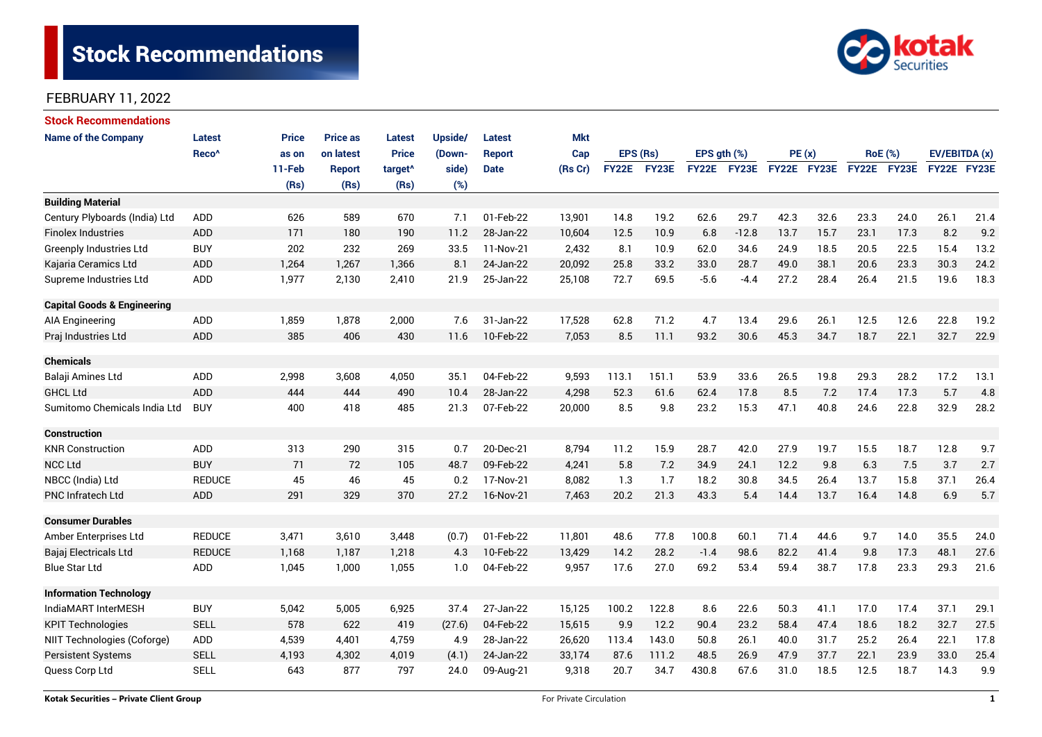# **Stock Recommendations**



#### FEBRUARY 11, 2022

| <b>Stock Recommendations</b>           |                   |              |                 |                     |         |               |            |              |       |                  |         |             |      |                |                      |               |      |
|----------------------------------------|-------------------|--------------|-----------------|---------------------|---------|---------------|------------|--------------|-------|------------------|---------|-------------|------|----------------|----------------------|---------------|------|
| <b>Name of the Company</b>             | Latest            | <b>Price</b> | <b>Price as</b> | Latest              | Upside/ | Latest        | <b>Mkt</b> |              |       |                  |         |             |      |                |                      |               |      |
|                                        | Reco <sup>^</sup> | as on        | on latest       | <b>Price</b>        | (Down-  | <b>Report</b> | Cap        | EPS (Rs)     |       | $EPS$ qth $(\%)$ |         | PE(x)       |      | <b>RoE</b> (%) |                      | EV/EBITDA (x) |      |
|                                        |                   | 11-Feb       | <b>Report</b>   | target <sup>^</sup> | side)   | <b>Date</b>   | (Rs Cr)    | <b>FY22E</b> | FY23E | <b>FY22E</b>     | FY23E   | FY22E FY23E |      | FY22E FY23E    |                      | FY22E FY23E   |      |
|                                        |                   | (Rs)         | (Rs)            | (Rs)                | (%)     |               |            |              |       |                  |         |             |      |                |                      |               |      |
| <b>Building Material</b>               |                   |              |                 |                     |         |               |            |              |       |                  |         |             |      |                |                      |               |      |
| Century Plyboards (India) Ltd          | <b>ADD</b>        | 626          | 589             | 670                 | 7.1     | 01-Feb-22     | 13,901     | 14.8         | 19.2  | 62.6             | 29.7    | 42.3        | 32.6 | 23.3           | 24.0                 | 26.1          | 21.4 |
| <b>Finolex Industries</b>              | <b>ADD</b>        | 171          | 180             | 190                 | 11.2    | 28-Jan-22     | 10,604     | 12.5         | 10.9  | 6.8              | $-12.8$ | 13.7        | 15.7 | 23.1           | 17.3                 | 8.2           | 9.2  |
| <b>Greenply Industries Ltd</b>         | <b>BUY</b>        | 202          | 232             | 269                 | 33.5    | 11-Nov-21     | 2,432      | 8.1          | 10.9  | 62.0             | 34.6    | 24.9        | 18.5 | 20.5           | 22.5                 | 15.4          | 13.2 |
| Kajaria Ceramics Ltd                   | <b>ADD</b>        | 1,264        | 1,267           | 1,366               | 8.1     | 24-Jan-22     | 20,092     | 25.8         | 33.2  | 33.0             | 28.7    | 49.0        | 38.1 | 20.6           | 23.3                 | 30.3          | 24.2 |
| Supreme Industries Ltd                 | ADD               | 1,977        | 2,130           | 2,410               | 21.9    | 25-Jan-22     | 25,108     | 72.7         | 69.5  | $-5.6$           | $-4.4$  | 27.2        | 28.4 | 26.4           | 21.5                 | 19.6          | 18.3 |
| <b>Capital Goods &amp; Engineering</b> |                   |              |                 |                     |         |               |            |              |       |                  |         |             |      |                |                      |               |      |
| AIA Engineering                        | ADD               | 1,859        | 1,878           | 2,000               | 7.6     | 31-Jan-22     | 17,528     | 62.8         | 71.2  | 4.7              | 13.4    | 29.6        | 26.1 | 12.5           | 12.6                 | 22.8          | 19.2 |
| Praj Industries Ltd                    | <b>ADD</b>        | 385          | 406             | 430                 | 11.6    | 10-Feb-22     | 7,053      | 8.5          | 11.1  | 93.2             | 30.6    | 45.3        | 34.7 | 18.7           | 22.1                 | 32.7          | 22.9 |
| <b>Chemicals</b>                       |                   |              |                 |                     |         |               |            |              |       |                  |         |             |      |                |                      |               |      |
| Balaji Amines Ltd                      | <b>ADD</b>        | 2,998        | 3,608           | 4,050               | 35.1    | 04-Feb-22     | 9,593      | 113.1        | 151.1 | 53.9             | 33.6    | 26.5        | 19.8 | 29.3           | 28.2                 | 17.2          | 13.1 |
| <b>GHCL Ltd</b>                        | <b>ADD</b>        | 444          | 444             | 490                 | 10.4    | 28-Jan-22     | 4,298      | 52.3         | 61.6  | 62.4             | 17.8    | 8.5         | 7.2  | 17.4           | 17.3                 | 5.7           | 4.8  |
| Sumitomo Chemicals India Ltd           | <b>BUY</b>        | 400          | 418             | 485                 | 21.3    | 07-Feb-22     | 20,000     | 8.5          | 9.8   | 23.2             | 15.3    | 47.1        | 40.8 | 24.6           | 22.8                 | 32.9          | 28.2 |
| <b>Construction</b>                    |                   |              |                 |                     |         |               |            |              |       |                  |         |             |      |                |                      |               |      |
| <b>KNR Construction</b>                | <b>ADD</b>        | 313          | 290             | 315                 | 0.7     | 20-Dec-21     | 8,794      | 11.2         | 15.9  | 28.7             | 42.0    | 27.9        | 19.7 | 15.5           | 18.7                 | 12.8          | 9.7  |
| <b>NCC Ltd</b>                         | <b>BUY</b>        | 71           | 72              | 105                 | 48.7    | 09-Feb-22     | 4,241      | 5.8          | 7.2   | 34.9             | 24.1    | 12.2        | 9.8  | 6.3            | 7.5                  | 3.7           | 2.7  |
| NBCC (India) Ltd                       | <b>REDUCE</b>     | 45           | 46              | 45                  | 0.2     | 17-Nov-21     | 8,082      | 1.3          | 1.7   | 18.2             | 30.8    | 34.5        | 26.4 | 13.7           | 15.8                 | 37.1          | 26.4 |
| <b>PNC Infratech Ltd</b>               | ADD               | 291          | 329             | 370                 | 27.2    | 16-Nov-21     | 7,463      | 20.2         | 21.3  | 43.3             | 5.4     | 14.4        | 13.7 | 16.4           | 14.8                 | 6.9           | 5.7  |
| <b>Consumer Durables</b>               |                   |              |                 |                     |         |               |            |              |       |                  |         |             |      |                |                      |               |      |
| Amber Enterprises Ltd                  | <b>REDUCE</b>     | 3,471        | 3,610           | 3,448               | (0.7)   | 01-Feb-22     | 11,801     | 48.6         | 77.8  | 100.8            | 60.1    | 71.4        | 44.6 | 9.7            | 14.0                 | 35.5          | 24.0 |
| Bajaj Electricals Ltd                  | <b>REDUCE</b>     | 1,168        | 1.187           | 1,218               | 4.3     | 10-Feb-22     | 13,429     | 14.2         | 28.2  | $-1.4$           | 98.6    | 82.2        | 41.4 | 9.8            | 17.3                 | 48.1          | 27.6 |
| <b>Blue Star Ltd</b>                   | ADD               | 1,045        | 1,000           | 1,055               | 1.0     | 04-Feb-22     | 9,957      | 17.6         | 27.0  | 69.2             | 53.4    | 59.4        | 38.7 | 17.8           | 23.3                 | 29.3          | 21.6 |
| <b>Information Technology</b>          |                   |              |                 |                     |         |               |            |              |       |                  |         |             |      |                |                      |               |      |
| IndiaMART InterMESH                    | <b>BUY</b>        | 5,042        | 5,005           | 6,925               | 37.4    | 27-Jan-22     | 15,125     | 100.2        | 122.8 | 8.6              | 22.6    | 50.3        | 41.1 | 17.0           | 17.4                 | 37.1          | 29.1 |
| <b>KPIT Technologies</b>               | <b>SELL</b>       | 578          | 622             | 419                 | (27.6)  | 04-Feb-22     | 15,615     | 9.9          | 12.2  | 90.4             | 23.2    | 58.4        | 47.4 | 18.6           | 18.2<br>32.7<br>27.5 |               |      |
| NIIT Technologies (Coforge)            | ADD               | 4,539        | 4,401           | 4,759               | 4.9     | 28-Jan-22     | 26,620     | 113.4        | 143.0 | 50.8             | 26.1    | 40.0        | 31.7 | 25.2           | 26.4                 | 22.1          | 17.8 |
| <b>Persistent Systems</b>              | <b>SELL</b>       | 4,193        | 4,302           | 4,019               | (4.1)   | 24-Jan-22     | 33,174     | 87.6         | 111.2 | 48.5             | 26.9    | 47.9        | 37.7 | 22.1           | 23.9                 | 33.0          | 25.4 |
| Quess Corp Ltd                         | <b>SELL</b>       | 643          | 877             | 797                 | 24.0    | 09-Aug-21     | 9,318      | 20.7         | 34.7  | 430.8            | 67.6    | 31.0        | 18.5 | 12.5           | 18.7                 | 14.3          | 9.9  |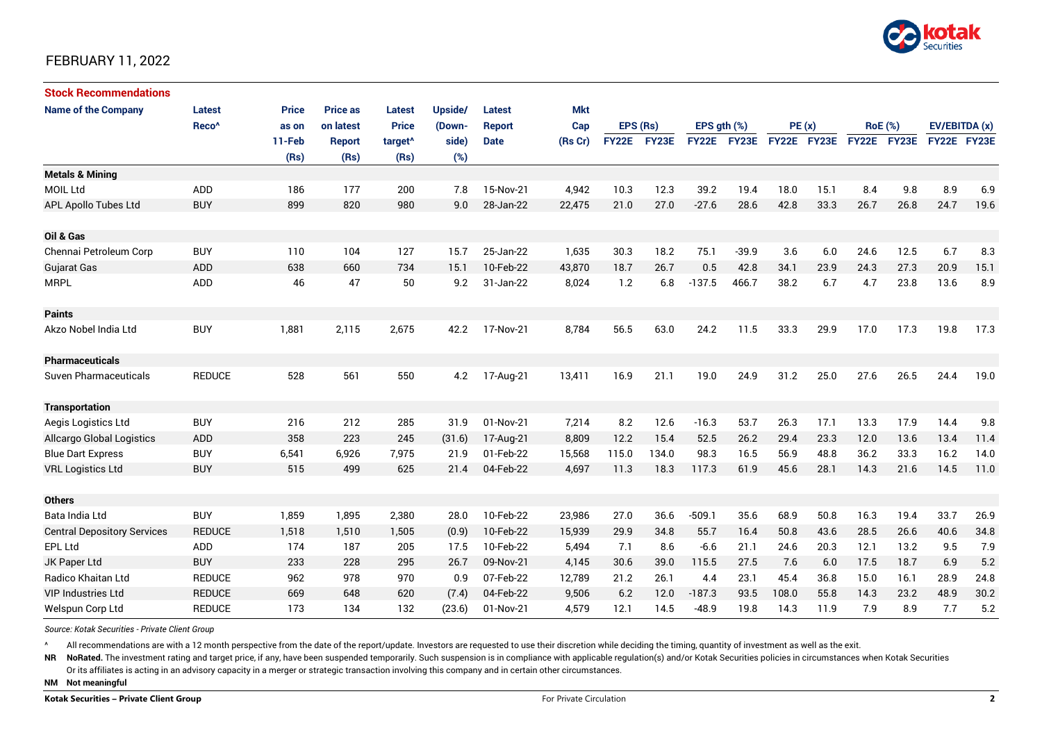

#### FEBRUARY 11, 2022

| <b>Stock Recommendations</b>       |                   |              |                 |                     |         |               |            |          |             |                  |         |             |      |                |      |               |      |
|------------------------------------|-------------------|--------------|-----------------|---------------------|---------|---------------|------------|----------|-------------|------------------|---------|-------------|------|----------------|------|---------------|------|
| <b>Name of the Company</b>         | Latest            | <b>Price</b> | <b>Price as</b> | Latest              | Upside/ | <b>Latest</b> | <b>Mkt</b> |          |             |                  |         |             |      |                |      |               |      |
|                                    | Reco <sup>^</sup> | as on        | on latest       | <b>Price</b>        | (Down-  | <b>Report</b> | Cap        | EPS (Rs) |             | EPS $qth$ $(\%)$ |         | PE(x)       |      | <b>RoE</b> (%) |      | EV/EBITDA (x) |      |
|                                    |                   | 11-Feb       | <b>Report</b>   | target <sup>^</sup> | side)   | <b>Date</b>   | (Rs Cr)    |          | FY22E FY23E | <b>FY22E</b>     | FY23E   | FY22E FY23E |      | FY22E FY23E    |      | FY22E FY23E   |      |
|                                    |                   | (Rs)         | (Rs)            | (Rs)                | (%)     |               |            |          |             |                  |         |             |      |                |      |               |      |
| <b>Metals &amp; Mining</b>         |                   |              |                 |                     |         |               |            |          |             |                  |         |             |      |                |      |               |      |
| <b>MOIL Ltd</b>                    | ADD               | 186          | 177             | 200                 | 7.8     | 15-Nov-21     | 4,942      | 10.3     | 12.3        | 39.2             | 19.4    | 18.0        | 15.1 | 8.4            | 9.8  | 8.9           | 6.9  |
| <b>APL Apollo Tubes Ltd</b>        | <b>BUY</b>        | 899          | 820             | 980                 | 9.0     | 28-Jan-22     | 22,475     | 21.0     | 27.0        | $-27.6$          | 28.6    | 42.8        | 33.3 | 26.7           | 26.8 | 24.7          | 19.6 |
|                                    |                   |              |                 |                     |         |               |            |          |             |                  |         |             |      |                |      |               |      |
| Oil & Gas                          |                   |              |                 |                     |         |               |            |          |             |                  |         |             |      |                |      |               |      |
| Chennai Petroleum Corp             | <b>BUY</b>        | 110          | 104             | 127                 | 15.7    | 25-Jan-22     | 1,635      | 30.3     | 18.2        | 75.1             | $-39.9$ | 3.6         | 6.0  | 24.6           | 12.5 | 6.7           | 8.3  |
| <b>Gujarat Gas</b>                 | <b>ADD</b>        | 638          | 660             | 734                 | 15.1    | 10-Feb-22     | 43,870     | 18.7     | 26.7        | 0.5              | 42.8    | 34.1        | 23.9 | 24.3           | 27.3 | 20.9          | 15.1 |
| <b>MRPL</b>                        | <b>ADD</b>        | 46           | 47              | 50                  | 9.2     | 31-Jan-22     | 8,024      | 1.2      | 6.8         | $-137.5$         | 466.7   | 38.2        | 6.7  | 4.7            | 23.8 | 13.6          | 8.9  |
|                                    |                   |              |                 |                     |         |               |            |          |             |                  |         |             |      |                |      |               |      |
| <b>Paints</b>                      |                   |              |                 |                     |         |               |            |          |             |                  |         |             |      |                |      |               |      |
| Akzo Nobel India Ltd               | <b>BUY</b>        | 1,881        | 2,115           | 2,675               | 42.2    | 17-Nov-21     | 8,784      | 56.5     | 63.0        | 24.2             | 11.5    | 33.3        | 29.9 | 17.0           | 17.3 | 19.8          | 17.3 |
|                                    |                   |              |                 |                     |         |               |            |          |             |                  |         |             |      |                |      |               |      |
| <b>Pharmaceuticals</b>             |                   |              |                 |                     |         |               |            |          |             |                  |         |             |      |                |      |               |      |
| <b>Suven Pharmaceuticals</b>       | <b>REDUCE</b>     | 528          | 561             | 550                 | 4.2     | 17-Aug-21     | 13,411     | 16.9     | 21.1        | 19.0             | 24.9    | 31.2        | 25.0 | 27.6           | 26.5 | 24.4          | 19.0 |
|                                    |                   |              |                 |                     |         |               |            |          |             |                  |         |             |      |                |      |               |      |
| <b>Transportation</b>              |                   |              |                 |                     |         |               |            |          |             |                  |         |             |      |                |      |               |      |
| Aegis Logistics Ltd                | <b>BUY</b>        | 216          | 212             | 285                 | 31.9    | 01-Nov-21     | 7,214      | 8.2      | 12.6        | $-16.3$          | 53.7    | 26.3        | 17.1 | 13.3           | 17.9 | 14.4          | 9.8  |
| <b>Allcargo Global Logistics</b>   | <b>ADD</b>        | 358          | 223             | 245                 | (31.6)  | 17-Aug-21     | 8,809      | 12.2     | 15.4        | 52.5             | 26.2    | 29.4        | 23.3 | 12.0           | 13.6 | 13.4          | 11.4 |
| <b>Blue Dart Express</b>           | <b>BUY</b>        | 6,541        | 6,926           | 7,975               | 21.9    | 01-Feb-22     | 15,568     | 115.0    | 134.0       | 98.3             | 16.5    | 56.9        | 48.8 | 36.2           | 33.3 | 16.2          | 14.0 |
| <b>VRL Logistics Ltd</b>           | <b>BUY</b>        | 515          | 499             | 625                 | 21.4    | 04-Feb-22     | 4,697      | 11.3     | 18.3        | 117.3            | 61.9    | 45.6        | 28.1 | 14.3           | 21.6 | 14.5          | 11.0 |
|                                    |                   |              |                 |                     |         |               |            |          |             |                  |         |             |      |                |      |               |      |
| <b>Others</b>                      |                   |              |                 |                     |         |               |            |          |             |                  |         |             |      |                |      |               |      |
| Bata India Ltd                     | <b>BUY</b>        | 1,859        | 1,895           | 2,380               | 28.0    | 10-Feb-22     | 23,986     | 27.0     | 36.6        | $-509.1$         | 35.6    | 68.9        | 50.8 | 16.3           | 19.4 | 33.7          | 26.9 |
| <b>Central Depository Services</b> | <b>REDUCE</b>     | 1,518        | 1,510           | 1,505               | (0.9)   | 10-Feb-22     | 15,939     | 29.9     | 34.8        | 55.7             | 16.4    | 50.8        | 43.6 | 28.5           | 26.6 | 40.6          | 34.8 |
| <b>EPL Ltd</b>                     | ADD               | 174          | 187             | 205                 | 17.5    | 10-Feb-22     | 5,494      | 7.1      | 8.6         | $-6.6$           | 21.1    | 24.6        | 20.3 | 12.1           | 13.2 | 9.5           | 7.9  |
| JK Paper Ltd                       | <b>BUY</b>        | 233          | 228             | 295                 | 26.7    | 09-Nov-21     | 4,145      | 30.6     | 39.0        | 115.5            | 27.5    | 7.6         | 6.0  | 17.5           | 18.7 | 6.9           | 5.2  |
| Radico Khaitan Ltd                 | <b>REDUCE</b>     | 962          | 978             | 970                 | 0.9     | 07-Feb-22     | 12,789     | 21.2     | 26.1        | 4.4              | 23.1    | 45.4        | 36.8 | 15.0           | 16.1 | 28.9          | 24.8 |
| <b>VIP Industries Ltd</b>          | <b>REDUCE</b>     | 669          | 648             | 620                 | (7.4)   | 04-Feb-22     | 9,506      | 6.2      | 12.0        | $-187.3$         | 93.5    | 108.0       | 55.8 | 14.3           | 23.2 | 48.9          | 30.2 |
| Welspun Corp Ltd                   | <b>REDUCE</b>     | 173          | 134             | 132                 | (23.6)  | 01-Nov-21     | 4,579      | 12.1     | 14.5        | $-48.9$          | 19.8    | 14.3        | 11.9 | 7.9            | 8.9  | 7.7           | 5.2  |

*Source: Kotak Securities - Private Client Group*

All recommendations are with a 12 month perspective from the date of the report/update. Investors are requested to use their discretion while deciding the timing, quantity of investment as well as the exit.

NR NoRated. The investment rating and target price, if any, have been suspended temporarily. Such suspension is in compliance with applicable regulation(s) and/or Kotak Securities policies in circumstances when Kotak Secur

Or its affiliates is acting in an advisory capacity in a merger or strategic transaction involving this company and in certain other circumstances.

**NM Not meaningful**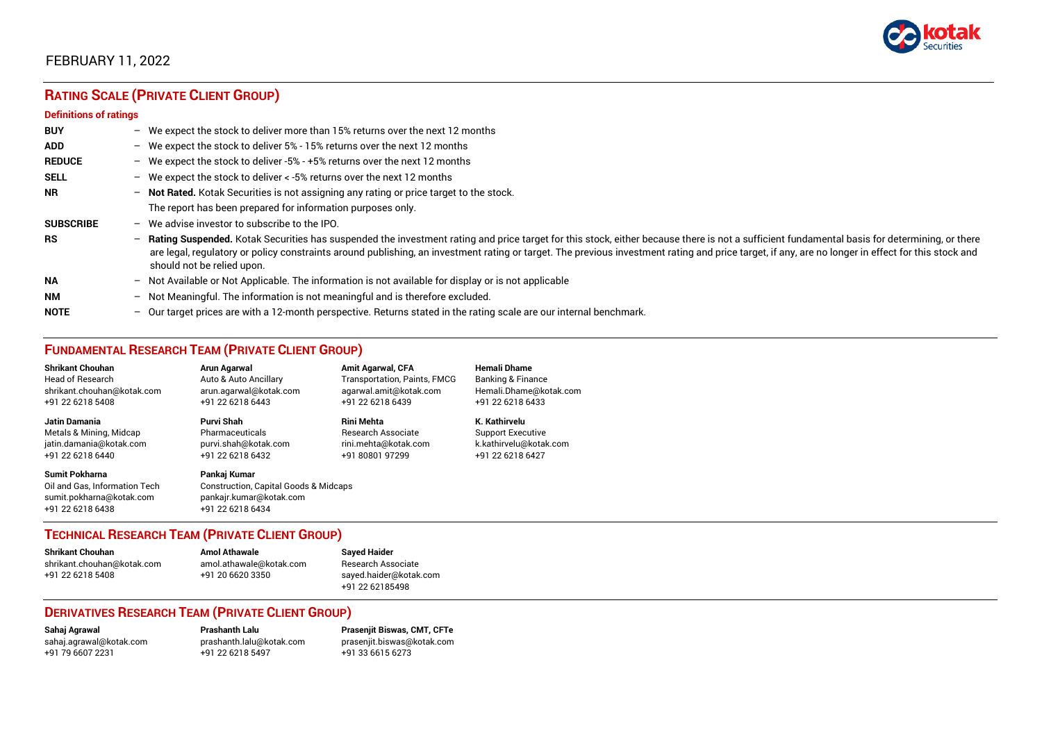

## FEBRUARY 11, 2022

## **RATING SCALE (PRIVATE CLIENT GROUP)**

#### **Definitions of ratings**

| <b>BUY</b>       |   | - We expect the stock to deliver more than 15% returns over the next 12 months                                                                                                                                                                                                                                                                                                                                                     |
|------------------|---|------------------------------------------------------------------------------------------------------------------------------------------------------------------------------------------------------------------------------------------------------------------------------------------------------------------------------------------------------------------------------------------------------------------------------------|
| <b>ADD</b>       |   | - We expect the stock to deliver 5% - 15% returns over the next 12 months                                                                                                                                                                                                                                                                                                                                                          |
| <b>REDUCE</b>    |   | - We expect the stock to deliver -5% - +5% returns over the next 12 months                                                                                                                                                                                                                                                                                                                                                         |
| <b>SELL</b>      |   | - We expect the stock to deliver $\lt$ -5% returns over the next 12 months                                                                                                                                                                                                                                                                                                                                                         |
| <b>NR</b>        |   | - Not Rated. Kotak Securities is not assigning any rating or price target to the stock.                                                                                                                                                                                                                                                                                                                                            |
|                  |   | The report has been prepared for information purposes only.                                                                                                                                                                                                                                                                                                                                                                        |
| <b>SUBSCRIBE</b> |   | $-$ We advise investor to subscribe to the IPO.                                                                                                                                                                                                                                                                                                                                                                                    |
| <b>RS</b>        |   | - Rating Suspended. Kotak Securities has suspended the investment rating and price target for this stock, either because there is not a sufficient fundamental basis for determining, or there<br>are legal, regulatory or policy constraints around publishing, an investment rating or target. The previous investment rating and price target, if any, are no longer in effect for this stock and<br>should not be relied upon. |
| <b>NA</b>        |   | $-$ Not Available or Not Applicable. The information is not available for display or is not applicable                                                                                                                                                                                                                                                                                                                             |
| <b>NM</b>        |   | - Not Meaningful. The information is not meaningful and is therefore excluded.                                                                                                                                                                                                                                                                                                                                                     |
| <b>NOTE</b>      | - | Our target prices are with a 12-month perspective. Returns stated in the rating scale are our internal benchmark.                                                                                                                                                                                                                                                                                                                  |

#### **FUNDAMENTAL RESEARCH TEAM (PRIVATE CLIENT GROUP)**

| <b>Shrikant Chouhan</b>                                                                                | Arun Agarwal                                                                                                    | <b>Amit Agarwal, CFA</b>     | <b>Hemali Dhame</b>      |
|--------------------------------------------------------------------------------------------------------|-----------------------------------------------------------------------------------------------------------------|------------------------------|--------------------------|
| <b>Head of Research</b>                                                                                | Auto & Auto Ancillary                                                                                           | Transportation, Paints, FMCG | Banking & Finance        |
| shrikant.chouhan@kotak.com                                                                             | arun agarwal@kotak.com                                                                                          | agarwal.amit@kotak.com       | Hemali.Dhame@kotak.com   |
| +91 22 6218 5408                                                                                       | +91 22 6218 6443                                                                                                | +91 22 6218 6439             | +91 22 6218 6433         |
| <b>Jatin Damania</b>                                                                                   | Purvi Shah                                                                                                      | <b>Rini Mehta</b>            | K. Kathirvelu            |
| Metals & Mining, Midcap                                                                                | Pharmaceuticals                                                                                                 | Research Associate           | <b>Support Executive</b> |
| jatin.damania@kotak.com                                                                                | purvi.shah@kotak.com                                                                                            | rini.mehta@kotak.com         | k.kathirvelu@kotak.com   |
| +91 22 6218 6440                                                                                       | +91 22 6218 6432                                                                                                | +91 80801 97299              | +91 22 6218 6427         |
| <b>Sumit Pokharna</b><br>Oil and Gas, Information Tech<br>sumit.pokharna@kotak.com<br>+91 22 6218 6438 | Pankaj Kumar<br><b>Construction, Capital Goods &amp; Midcaps</b><br>pankajr.kumar@kotak.com<br>+91 22 6218 6434 |                              |                          |

#### **TECHNICAL RESEARCH TEAM (PRIVATE CLIENT GROUP)**

| <b>Shrikant Chouhan</b>    | <b>Amol Athawale</b>    |  |
|----------------------------|-------------------------|--|
| shrikant.chouhan@kotak.com | amol.athawale@kotak.com |  |
| +91 22 6218 5408           | +91 20 6620 3350        |  |
|                            |                         |  |

**Sayed Haider** Research Associate [sayed.haider@kotak.com](mailto:sayed.haider@kotak.com) +91 22 62185498

#### **DERIVATIVES RESEARCH TEAM (PRIVATE CLIENT GROUP)**

+91 22 6218 5497 +91 33 6615 6273

**Sahaj Agrawal Prashanth Lalu Prasenjit Biswas, CMT, CFTe** [sahaj.agrawal@kotak.com](mailto:sahaj.agrawal@kotak.com) [prashanth.lalu@kotak.com](mailto:prashanth.lalu@kotak.com) [prasenjit.biswas@kotak.com](mailto:prasenjit.biswas@kotak.com)